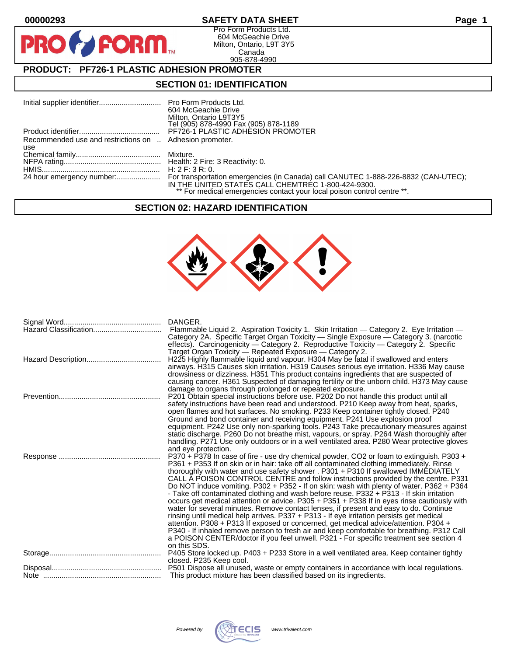$\mathbf O$ 

PR

## **00000293 SAFETY DATA SHEET Page 1**

Pro Form Products Ltd. 604 McGeachie Drive Milton, Ontario, L9T 3Y5 Canada 905-878-4990

# **PRODUCT: PF726-1 PLASTIC ADHESION PROMOTER**

**FORM** 

### **SECTION 01: IDENTIFICATION**

|                                                         | 604 McGeachie Drive                                                                |
|---------------------------------------------------------|------------------------------------------------------------------------------------|
|                                                         | Milton, Ontario L9T3Y5                                                             |
|                                                         | Tel (905) 878-4990 Fax (905) 878-1189                                              |
|                                                         | PF726-1 PLASTIC ADHESION PROMOTER                                                  |
| Recommended use and restrictions on  Adhesion promoter. |                                                                                    |
| use                                                     |                                                                                    |
|                                                         |                                                                                    |
|                                                         |                                                                                    |
|                                                         | H: 2 F: 3 R: 0.                                                                    |
|                                                         | For transportation emergencies (in Canada) call CANUTEC 1-888-226-8832 (CAN-UTEC); |
|                                                         | IN THE UNITED STATES CALL CHEMTREC 1-800-424-9300.                                 |
|                                                         | ** For medical emergencies contact your local poison control centre **.            |

### **SECTION 02: HAZARD IDENTIFICATION**



| DANGER.<br>Flammable Liquid 2. Aspiration Toxicity 1. Skin Irritation — Category 2. Eye Irritation —<br>Category 2A. Specific Target Organ Toxicity — Single Exposure — Category 3. (narcotic<br>effects). Carcinogenicity - Category 2. Reproductive Toxicity - Category 2. Specific                                                                                                                                                                                                                                                                                                                                                                                                                                                                                                                                                                                                                                                                                                                                                                                                                                                       |
|---------------------------------------------------------------------------------------------------------------------------------------------------------------------------------------------------------------------------------------------------------------------------------------------------------------------------------------------------------------------------------------------------------------------------------------------------------------------------------------------------------------------------------------------------------------------------------------------------------------------------------------------------------------------------------------------------------------------------------------------------------------------------------------------------------------------------------------------------------------------------------------------------------------------------------------------------------------------------------------------------------------------------------------------------------------------------------------------------------------------------------------------|
| Target Organ Toxicity — Repeated Exposure — Category 2.<br>H225 Highly flammable liquid and vapour. H304 May be fatal if swallowed and enters<br>airways. H315 Causes skin irritation. H319 Causes serious eye irritation. H336 May cause<br>drowsiness or dizziness. H351 This product contains ingredients that are suspected of<br>causing cancer. H361 Suspected of damaging fertility or the unborn child. H373 May cause                                                                                                                                                                                                                                                                                                                                                                                                                                                                                                                                                                                                                                                                                                              |
| damage to organs through prolonged or repeated exposure.<br>P201 Obtain special instructions before use. P202 Do not handle this product until all<br>safety instructions have been read and understood. P210 Keep away from heat, sparks,<br>open flames and hot surfaces. No smoking. P233 Keep container tightly closed. P240<br>Ground and bond container and receiving equipment. P241 Use explosion proof<br>equipment. P242 Use only non-sparking tools. P243 Take precautionary measures against<br>static discharge. P260 Do not breathe mist, vapours, or spray. P264 Wash thoroughly after<br>handling. P271 Use only outdoors or in a well ventilated area. P280 Wear protective gloves<br>and eye protection.                                                                                                                                                                                                                                                                                                                                                                                                                  |
| P370 + P378 In case of fire - use dry chemical powder, CO2 or foam to extinguish. P303 +<br>P361 + P353 If on skin or in hair: take off all contaminated clothing immediately. Rinse<br>thoroughly with water and use safety shower . P301 + P310 If swallowed IMMEDIATELY<br>CALL A POISON CONTROL CENTRE and follow instructions provided by the centre. P331<br>Do NOT induce vomiting. P302 + P352 - If on skin: wash with plenty of water. P362 + P364<br>- Take off contaminated clothing and wash before reuse. P332 + P313 - If skin irritation<br>occurs get medical attention or advice. P305 + P351 + P338 If in eyes rinse cautiously with<br>water for several minutes. Remove contact lenses, if present and easy to do. Continue<br>rinsing until medical help arrives. P337 + P313 - If eye irritation persists get medical<br>attention. P308 + P313 If exposed or concerned, get medical advice/attention. P304 +<br>P340 - If inhaled remove person to fresh air and keep comfortable for breathing. P312 Call<br>a POISON CENTER/doctor if you feel unwell. P321 - For specific treatment see section 4<br>on this SDS. |
| P405 Store locked up. P403 + P233 Store in a well ventilated area. Keep container tightly<br>closed. P235 Keep cool.                                                                                                                                                                                                                                                                                                                                                                                                                                                                                                                                                                                                                                                                                                                                                                                                                                                                                                                                                                                                                        |
| This product mixture has been classified based on its ingredients.                                                                                                                                                                                                                                                                                                                                                                                                                                                                                                                                                                                                                                                                                                                                                                                                                                                                                                                                                                                                                                                                          |

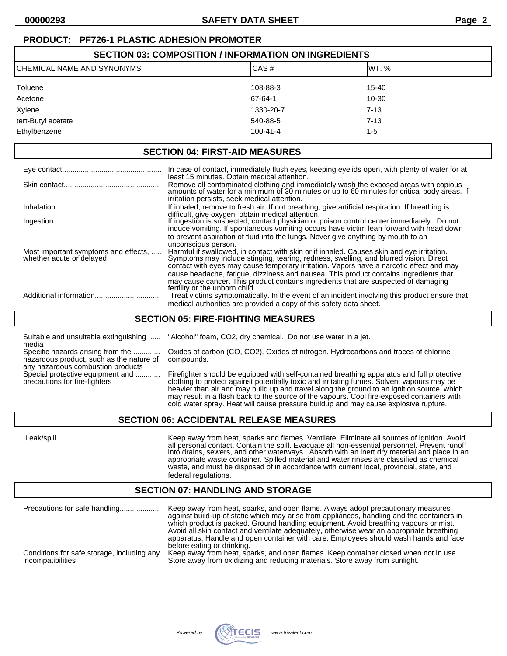# **PRODUCT: PF726-1 PLASTIC ADHESION PROMOTER**

| <b>SECTION 03: COMPOSITION / INFORMATION ON INGREDIENTS</b> |                |           |  |
|-------------------------------------------------------------|----------------|-----------|--|
| ICHEMICAL NAME AND SYNONYMS                                 | CAS#           | IWT. %    |  |
| Toluene                                                     | 108-88-3       | $15 - 40$ |  |
| Acetone                                                     | 67-64-1        | $10 - 30$ |  |
| Xylene                                                      | 1330-20-7      | $7 - 13$  |  |
| tert-Butyl acetate                                          | 540-88-5       | $7 - 13$  |  |
| Ethylbenzene                                                | $100 - 41 - 4$ | $1 - 5$   |  |

#### **SECTION 04: FIRST-AID MEASURES**

|                                                                  | In case of contact, immediately flush eyes, keeping eyelids open, with plenty of water for at                                                                                                                                                                                                        |
|------------------------------------------------------------------|------------------------------------------------------------------------------------------------------------------------------------------------------------------------------------------------------------------------------------------------------------------------------------------------------|
|                                                                  | least 15 minutes. Obtain medical attention.<br>Remove all contaminated clothing and immediately wash the exposed areas with copious<br>amounts of water for a minimum of 30 minutes or up to 60 minutes for critical body areas. If<br>irritation persists, seek medical attention.                  |
|                                                                  | If inhaled, remove to fresh air. If not breathing, give artificial respiration. If breathing is                                                                                                                                                                                                      |
|                                                                  | difficult, give oxygen, obtain medical attention.<br>If ingestion is suspected, contact physician or poison control center immediately. Do not<br>induce vomiting. If spontaneous vomiting occurs have victim lean forward with head down                                                            |
|                                                                  | to prevent aspiration of fluid into the lungs. Never give anything by mouth to an                                                                                                                                                                                                                    |
| Most important symptoms and effects,<br>whether acute or delayed | unconscious person.<br>Harmful if swallowed, in contact with skin or if inhaled. Causes skin and eye irritation.<br>Symptoms may include stinging, tearing, redness, swelling, and blurred vision. Direct<br>contact with eyes may cause temporary irritation. Vapors have a narcotic effect and may |
|                                                                  | cause headache, fatique, dizziness and nausea. This product contains ingredients that<br>may cause cancer. This product contains ingredients that are suspected of damaging<br>fertility or the unborn child.                                                                                        |
|                                                                  | Treat victims symptomatically. In the event of an incident involving this product ensure that<br>medical authorities are provided a copy of this safety data sheet.                                                                                                                                  |

### **SECTION 05: FIRE-FIGHTING MEASURES**

Suitable and unsuitable extinguishing ..... "Alcohol" foam, CO2, dry chemical. Do not use water in a jet. media

hazardous product, such as the nature of compounds. any hazardous combustion products<br>Special protective equipment and ............

Specific hazards arising from the ............. Oxides of carbon (CO, CO2). Oxides of nitrogen. Hydrocarbons and traces of chlorine

Firefighter should be equipped with self-contained breathing apparatus and full protective precautions for fire-fighters clothing to protect against potentially toxic and irritating fumes. Solvent vapours may be heavier than air and may build up and travel along the ground to an ignition source, which may result in a flash back to the source of the vapours. Cool fire-exposed containers with cold water spray. Heat will cause pressure buildup and may cause explosive rupture.

### **SECTION 06: ACCIDENTAL RELEASE MEASURES**

 Leak/spill.................................................. Keep away from heat, sparks and flames. Ventilate. Eliminate all sources of ignition. Avoid all personal contact. Contain the spill. Evacuate all non-essential personnel. Prevent runoff into drains, sewers, and other waterways. Absorb with an inert dry material and place in an appropriate waste container. Spilled material and water rinses are classified as chemical waste, and must be disposed of in accordance with current local, provincial, state, and federal regulations.

### **SECTION 07: HANDLING AND STORAGE**

| Precautions for safe handling              | Keep away from heat, sparks, and open flame. Always adopt precautionary measures<br>against build-up of static which may arise from appliances, handling and the containers in<br>which product is packed. Ground handling equipment. Avoid breathing vapours or mist.<br>Avoid all skin contact and ventilate adequately, otherwise wear an appropriate breathing<br>apparatus. Handle and open container with care. Employees should wash hands and face<br>before eating or drinking. |
|--------------------------------------------|------------------------------------------------------------------------------------------------------------------------------------------------------------------------------------------------------------------------------------------------------------------------------------------------------------------------------------------------------------------------------------------------------------------------------------------------------------------------------------------|
| Conditions for safe storage, including any | Keep away from heat, sparks, and open flames. Keep container closed when not in use.                                                                                                                                                                                                                                                                                                                                                                                                     |
| incompatibilities                          | Store away from oxidizing and reducing materials. Store away from sunlight.                                                                                                                                                                                                                                                                                                                                                                                                              |

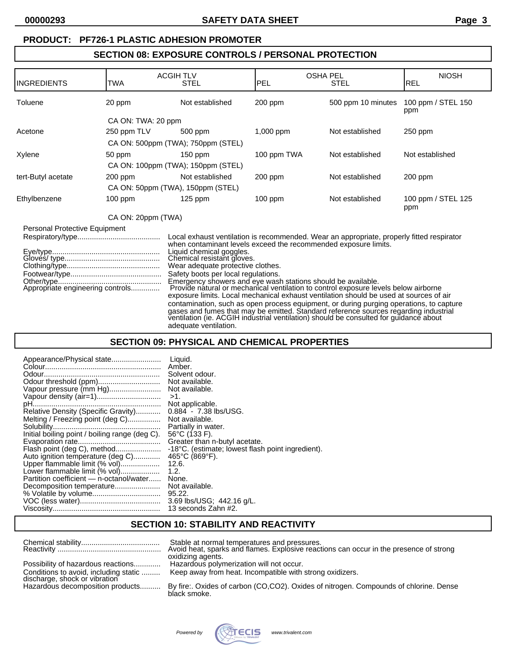## **PRODUCT: PF726-1 PLASTIC ADHESION PROMOTER**

## **SECTION 08: EXPOSURE CONTROLS / PERSONAL PROTECTION**

| INGREDIENTS                                                       | TWA                | <b>ACGIH TLV</b><br><b>STEL</b>                                                                                                                                                                                                                                       | IPEL        | <b>OSHA PEL</b><br><b>STEL</b>                                                                                                                                                                                                                                                                                                                                                                                                                                                                                                                         | <b>NIOSH</b><br><b>REL</b> |
|-------------------------------------------------------------------|--------------------|-----------------------------------------------------------------------------------------------------------------------------------------------------------------------------------------------------------------------------------------------------------------------|-------------|--------------------------------------------------------------------------------------------------------------------------------------------------------------------------------------------------------------------------------------------------------------------------------------------------------------------------------------------------------------------------------------------------------------------------------------------------------------------------------------------------------------------------------------------------------|----------------------------|
| Toluene                                                           | 20 ppm             | Not established                                                                                                                                                                                                                                                       | 200 ppm     | 500 ppm 10 minutes                                                                                                                                                                                                                                                                                                                                                                                                                                                                                                                                     | 100 ppm / STEL 150<br>ppm  |
|                                                                   | CA ON: TWA: 20 ppm |                                                                                                                                                                                                                                                                       |             |                                                                                                                                                                                                                                                                                                                                                                                                                                                                                                                                                        |                            |
| Acetone                                                           | 250 ppm TLV        | 500 ppm                                                                                                                                                                                                                                                               | $1,000$ ppm | Not established                                                                                                                                                                                                                                                                                                                                                                                                                                                                                                                                        | $250$ ppm                  |
|                                                                   |                    | CA ON: 500ppm (TWA); 750ppm (STEL)                                                                                                                                                                                                                                    |             |                                                                                                                                                                                                                                                                                                                                                                                                                                                                                                                                                        |                            |
| Xylene                                                            | 50 ppm             | 150 ppm                                                                                                                                                                                                                                                               | 100 ppm TWA | Not established                                                                                                                                                                                                                                                                                                                                                                                                                                                                                                                                        | Not established            |
|                                                                   |                    | CA ON: 100ppm (TWA); 150ppm (STEL)                                                                                                                                                                                                                                    |             |                                                                                                                                                                                                                                                                                                                                                                                                                                                                                                                                                        |                            |
| tert-Butyl acetate                                                | $200$ ppm          | Not established                                                                                                                                                                                                                                                       | $200$ ppm   | Not established                                                                                                                                                                                                                                                                                                                                                                                                                                                                                                                                        | $200$ ppm                  |
|                                                                   |                    | CA ON: 50ppm (TWA), 150ppm (STEL)                                                                                                                                                                                                                                     |             |                                                                                                                                                                                                                                                                                                                                                                                                                                                                                                                                                        |                            |
| Ethylbenzene                                                      | $100$ ppm          | $125$ ppm                                                                                                                                                                                                                                                             | $100$ ppm   | Not established                                                                                                                                                                                                                                                                                                                                                                                                                                                                                                                                        | 100 ppm / STEL 125<br>ppm  |
|                                                                   | CA ON: 20ppm (TWA) |                                                                                                                                                                                                                                                                       |             |                                                                                                                                                                                                                                                                                                                                                                                                                                                                                                                                                        |                            |
| Personal Protective Equipment<br>Appropriate engineering controls |                    | when contaminant levels exceed the recommended exposure limits.<br>Liquid chemical goggles.<br>Chemical resistant gloves.<br>Wear adequate protective clothes.<br>Safety boots per local regulations.<br>Emergency showers and eye wash stations should be available. |             | Local exhaust ventilation is recommended. Wear an appropriate, properly fitted respirator<br>Provide natural or mechanical ventilation to control exposure levels below airborne<br>exposure limits. Local mechanical exhaust ventilation should be used at sources of air<br>contamination, such as open process equipment, or during purging operations, to capture<br>gases and fumes that may be emitted. Standard reference sources regarding industrial<br>ventilation (ie. ACGIH industrial ventilation) should be consulted for guidance about |                            |

# **SECTION 09: PHYSICAL AND CHEMICAL PROPERTIES**

adequate ventilation.

| Appearance/Physical state                      | Liquid.                                           |
|------------------------------------------------|---------------------------------------------------|
|                                                | Amber.                                            |
|                                                | Solvent odour.                                    |
| Odour threshold (ppm)                          | Not available.                                    |
| Vapour pressure (mm Hg)                        | Not available.                                    |
|                                                | $>1$ .                                            |
|                                                | Not applicable.                                   |
| Relative Density (Specific Gravity)            | $0.884 - 7.38$ lbs/USG.                           |
| Melting / Freezing point (deg C)               | Not available.                                    |
|                                                | Partially in water.                               |
| Initial boiling point / boiling range (deg C). | $56^{\circ}$ C (133 F).                           |
|                                                | Greater than n-butyl acetate.                     |
| Flash point (deg C), method                    | -18°C. (estimate; lowest flash point ingredient). |
| Auto ignition temperature (deg C)              | $465^{\circ}$ C (869 $^{\circ}$ F).               |
| Upper flammable limit (% vol)                  | 12.6.                                             |
| Lower flammable limit (% vol)                  | 1.2.                                              |
| Partition coefficient — n-octanol/water        | None.                                             |
| Decomposition temperature                      | Not available.                                    |
|                                                | 95.22.                                            |
|                                                | 3.69 lbs/USG; 442.16 g/L.                         |
|                                                | 13 seconds Zahn #2.                               |

# **SECTION 10: STABILITY AND REACTIVITY**

|                                                                                                            | Stable at normal temperatures and pressures.<br>Avoid heat, sparks and flames. Explosive reactions can occur in the presence of strong<br>oxidizing agents. |
|------------------------------------------------------------------------------------------------------------|-------------------------------------------------------------------------------------------------------------------------------------------------------------|
| Possibility of hazardous reactions                                                                         | Hazardous polymerization will not occur.<br>Keep away from heat. Incompatible with strong oxidizers.                                                        |
| Conditions to avoid, including static<br>discharge, shock or vibration<br>Hazardous decomposition products | By fire: Oxides of carbon (CO,CO2). Oxides of nitrogen. Compounds of chlorine. Dense                                                                        |
|                                                                                                            | black smoke.                                                                                                                                                |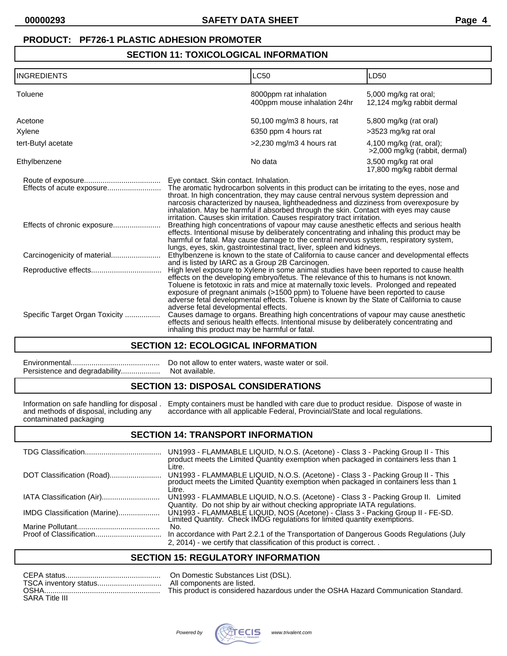## **PRODUCT: PF726-1 PLASTIC ADHESION PROMOTER**

## **SECTION 11: TOXICOLOGICAL INFORMATION**

| <b>INGREDIENTS</b>             |                                                                                                                                                                                                                                                                                                                                                                                                                                                                                                                                                         | <b>LC50</b>                                                                                                                                                                                                                                                              | LD50                                                      |
|--------------------------------|---------------------------------------------------------------------------------------------------------------------------------------------------------------------------------------------------------------------------------------------------------------------------------------------------------------------------------------------------------------------------------------------------------------------------------------------------------------------------------------------------------------------------------------------------------|--------------------------------------------------------------------------------------------------------------------------------------------------------------------------------------------------------------------------------------------------------------------------|-----------------------------------------------------------|
| Toluene                        |                                                                                                                                                                                                                                                                                                                                                                                                                                                                                                                                                         | 8000ppm rat inhalation<br>400ppm mouse inhalation 24hr                                                                                                                                                                                                                   | 5,000 mg/kg rat oral;<br>12,124 mg/kg rabbit dermal       |
| Acetone                        |                                                                                                                                                                                                                                                                                                                                                                                                                                                                                                                                                         | 50,100 mg/m3 8 hours, rat                                                                                                                                                                                                                                                | 5,800 mg/kg (rat oral)                                    |
| Xylene                         |                                                                                                                                                                                                                                                                                                                                                                                                                                                                                                                                                         | 6350 ppm 4 hours rat                                                                                                                                                                                                                                                     | >3523 mg/kg rat oral                                      |
| tert-Butyl acetate             |                                                                                                                                                                                                                                                                                                                                                                                                                                                                                                                                                         | $>2,230$ mg/m3 4 hours rat                                                                                                                                                                                                                                               | 4,100 mg/kg (rat, oral);<br>>2,000 mg/kg (rabbit, dermal) |
| Ethylbenzene                   |                                                                                                                                                                                                                                                                                                                                                                                                                                                                                                                                                         | No data                                                                                                                                                                                                                                                                  | 3,500 mg/kg rat oral<br>17,800 mg/kg rabbit dermal        |
| Effects of acute exposure      | Eye contact. Skin contact. Inhalation.                                                                                                                                                                                                                                                                                                                                                                                                                                                                                                                  | The aromatic hydrocarbon solvents in this product can be irritating to the eyes, nose and<br>throat. In high concentration, they may cause central nervous system depression and<br>narcosis characterized by nausea, lightheadedness and dizziness from overexposure by |                                                           |
| Effects of chronic exposure    | inhalation. May be harmful if absorbed through the skin. Contact with eyes may cause<br>irritation. Causes skin irritation. Causes respiratory tract irritation.<br>Breathing high concentrations of vapour may cause anesthetic effects and serious health<br>effects. Intentional misuse by deliberately concentrating and inhaling this product may be<br>harmful or fatal. May cause damage to the central nervous system, respiratory system,                                                                                                      |                                                                                                                                                                                                                                                                          |                                                           |
|                                |                                                                                                                                                                                                                                                                                                                                                                                                                                                                                                                                                         | lungs, eyes, skin, gastrointestinal tract, liver, spleen and kidneys.<br>Ethylbenzene is known to the state of California to cause cancer and developmental effects                                                                                                      |                                                           |
|                                | and is listed by IARC as a Group 2B Carcinogen.<br>High level exposure to Xylene in some animal studies have been reported to cause health<br>effects on the developing embryo/fetus. The relevance of this to humans is not known.<br>Toluene is fetotoxic in rats and mice at maternally toxic levels. Prolonged and repeated<br>exposure of pregnant animals (>1500 ppm) to Toluene have been reported to cause<br>adverse fetal developmental effects. Toluene is known by the State of California to cause<br>adverse fetal developmental effects. |                                                                                                                                                                                                                                                                          |                                                           |
| Specific Target Organ Toxicity | inhaling this product may be harmful or fatal.                                                                                                                                                                                                                                                                                                                                                                                                                                                                                                          | Causes damage to organs. Breathing high concentrations of vapour may cause anesthetic<br>effects and serious health effects. Intentional misuse by deliberately concentrating and                                                                                        |                                                           |

### **SECTION 12: ECOLOGICAL INFORMATION**

| Do not allow to enter waters, waste water or soil. |
|----------------------------------------------------|
|                                                    |

### **SECTION 13: DISPOSAL CONSIDERATIONS**

|                                        | Information on safe handling for disposal. Empty containers must be handled with care due to product residue. Dispose of waste in |
|----------------------------------------|-----------------------------------------------------------------------------------------------------------------------------------|
| and methods of disposal, including any | accordance with all applicable Federal, Provincial/State and local regulations.                                                   |
| contaminated packaging                 |                                                                                                                                   |

## **SECTION 14: TRANSPORT INFORMATION**

|                              | UN1993 - FLAMMABLE LIQUID, N.O.S. (Acetone) - Class 3 - Packing Group II - This<br>product meets the Limited Quantity exemption when packaged in containers less than 1<br>Litre.                                                          |
|------------------------------|--------------------------------------------------------------------------------------------------------------------------------------------------------------------------------------------------------------------------------------------|
| DOT Classification (Road)    | UN1993 - FLAMMABLE LIQUID, N.O.S. (Acetone) - Class 3 - Packing Group II - This product meets the Limited Quantity exemption when packaged in containers less than 1<br>Litre.                                                             |
|                              | UN1993 - FLAMMABLE LIQUID, N.O.S. (Acetone) - Class 3 - Packing Group II.<br>Limited                                                                                                                                                       |
| IMDG Classification (Marine) | Quantity. Do not ship by air without checking appropriate IATA regulations.<br>UN1993 - FLAMMABLE LIQUID, NOS (Acetone) - Class 3 - Packing Group II - FE-SD.<br>Limited Quantity. Check IMDG regulations for limited quantity exemptions. |
|                              | No.                                                                                                                                                                                                                                        |
|                              | In accordance with Part 2.2.1 of the Transportation of Dangerous Goods Regulations (July                                                                                                                                                   |
|                              | 2, 2014) - we certify that classification of this product is correct                                                                                                                                                                       |

### **SECTION 15: REGULATORY INFORMATION**

| <b>OSHA</b>           | This product is considered hazardous under the OSHA Hazard Communication Standard. |
|-----------------------|------------------------------------------------------------------------------------|
| <b>SARA Title III</b> |                                                                                    |